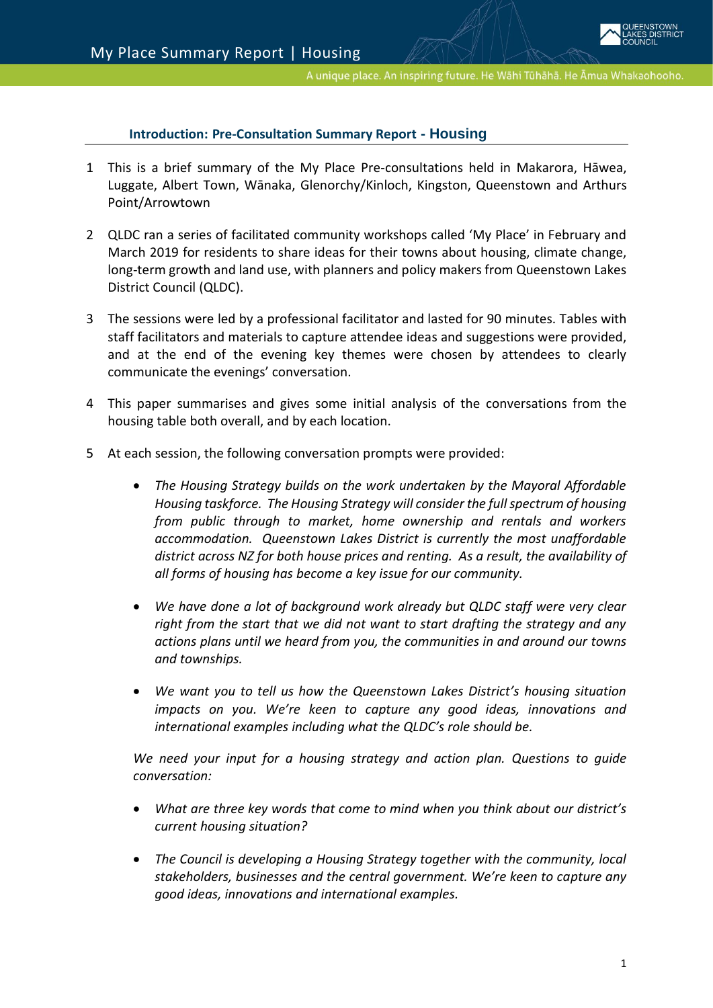### **[Introduction:](file://///sqldcsvr02/share/KEEP/Agenda%20Report%20Template/Practice%20Notes%20for%20Writing%20Agenda%20Reports%20Mar%202015.pdf) Pre-Consultation Summary Report - Housing**

- 1 This is a brief summary of the My Place Pre-consultations held in Makarora, Hāwea, Luggate, Albert Town, Wānaka, Glenorchy/Kinloch, Kingston, Queenstown and Arthurs Point/Arrowtown
- 2 QLDC ran a series of facilitated community workshops called 'My Place' in February and March 2019 for residents to share ideas for their towns about housing, climate change, long-term growth and land use, with planners and policy makers from Queenstown Lakes District Council (QLDC).
- 3 The sessions were led by a professional facilitator and lasted for 90 minutes. Tables with staff facilitators and materials to capture attendee ideas and suggestions were provided, and at the end of the evening key themes were chosen by attendees to clearly communicate the evenings' conversation.
- 4 This paper summarises and gives some initial analysis of the conversations from the housing table both overall, and by each location.
- 5 At each session, the following conversation prompts were provided:
	- *The Housing Strategy builds on the work undertaken by the Mayoral Affordable Housing taskforce. The Housing Strategy will consider the full spectrum of housing from public through to market, home ownership and rentals and workers accommodation. Queenstown Lakes District is currently the most unaffordable district across NZ for both house prices and renting. As a result, the availability of all forms of housing has become a key issue for our community.*
	- *We have done a lot of background work already but QLDC staff were very clear right from the start that we did not want to start drafting the strategy and any actions plans until we heard from you, the communities in and around our towns and townships.*
	- *We want you to tell us how the Queenstown Lakes District's housing situation impacts on you. We're keen to capture any good ideas, innovations and international examples including what the QLDC's role should be.*

*We need your input for a housing strategy and action plan. Questions to guide conversation:*

- *What are three key words that come to mind when you think about our district's current housing situation?*
- *The Council is developing a Housing Strategy together with the community, local stakeholders, businesses and the central government. We're keen to capture any good ideas, innovations and international examples.*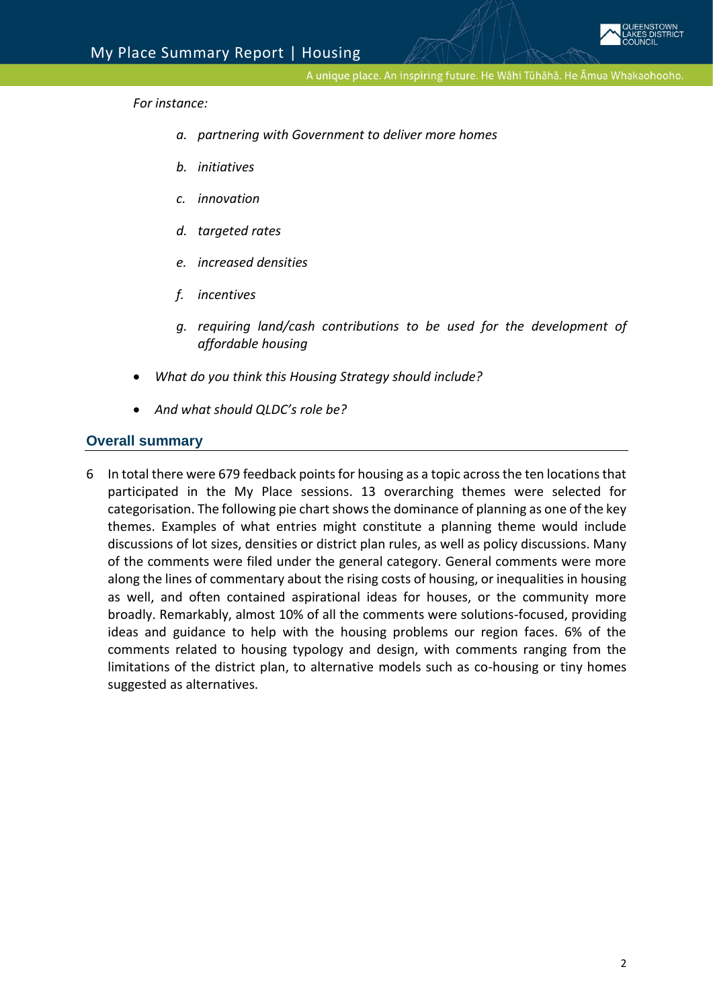

*For instance:*

- *a. partnering with Government to deliver more homes*
- *b. initiatives*
- *c. innovation*
- *d. targeted rates*
- *e. increased densities*
- *f. incentives*
- *g. requiring land/cash contributions to be used for the development of affordable housing*
- *What do you think this Housing Strategy should include?*
- *And what should QLDC's role be?*

#### **Overall summary**

6 In total there were 679 feedback points for housing as a topic across the ten locations that participated in the My Place sessions. 13 overarching themes were selected for categorisation. The following pie chart shows the dominance of planning as one of the key themes. Examples of what entries might constitute a planning theme would include discussions of lot sizes, densities or district plan rules, as well as policy discussions. Many of the comments were filed under the general category. General comments were more along the lines of commentary about the rising costs of housing, or inequalities in housing as well, and often contained aspirational ideas for houses, or the community more broadly. Remarkably, almost 10% of all the comments were solutions-focused, providing ideas and guidance to help with the housing problems our region faces. 6% of the comments related to housing typology and design, with comments ranging from the limitations of the district plan, to alternative models such as co-housing or tiny homes suggested as alternatives.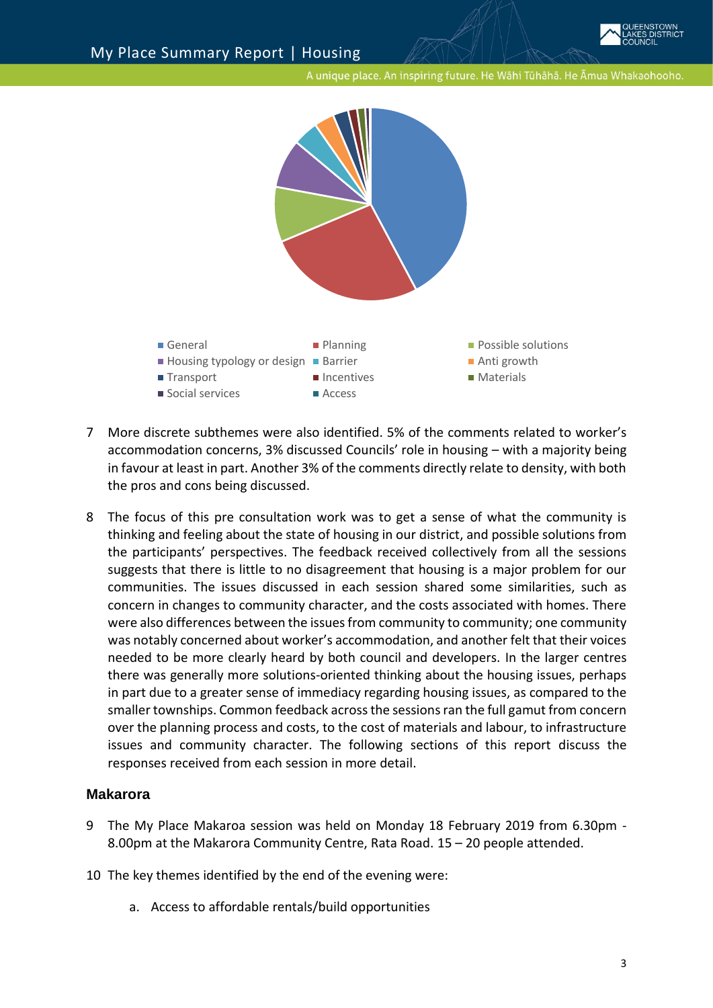

- 7 More discrete subthemes were also identified. 5% of the comments related to worker's accommodation concerns, 3% discussed Councils' role in housing – with a majority being in favour at least in part. Another 3% of the comments directly relate to density, with both the pros and cons being discussed.
- 8 The focus of this pre consultation work was to get a sense of what the community is thinking and feeling about the state of housing in our district, and possible solutions from the participants' perspectives. The feedback received collectively from all the sessions suggests that there is little to no disagreement that housing is a major problem for our communities. The issues discussed in each session shared some similarities, such as concern in changes to community character, and the costs associated with homes. There were also differences between the issues from community to community; one community was notably concerned about worker's accommodation, and another felt that their voices needed to be more clearly heard by both council and developers. In the larger centres there was generally more solutions-oriented thinking about the housing issues, perhaps in part due to a greater sense of immediacy regarding housing issues, as compared to the smaller townships. Common feedback across the sessionsran the full gamut from concern over the planning process and costs, to the cost of materials and labour, to infrastructure issues and community character. The following sections of this report discuss the responses received from each session in more detail.

# **Makarora**

- 9 The My Place Makaroa session was held on Monday 18 February 2019 from 6.30pm 8.00pm at the Makarora Community Centre, Rata Road. 15 – 20 people attended.
- 10 The key themes identified by the end of the evening were:
	- a. Access to affordable rentals/build opportunities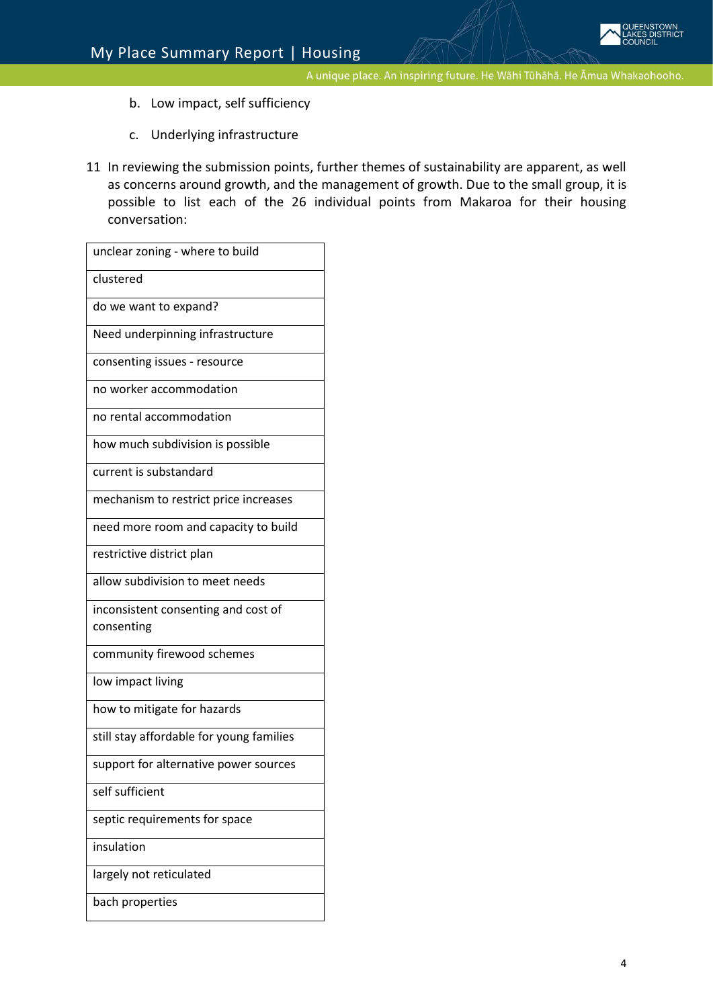- b. Low impact, self sufficiency
- c. Underlying infrastructure
- 11 In reviewing the submission points, further themes of sustainability are apparent, as well as concerns around growth, and the management of growth. Due to the small group, it is possible to list each of the 26 individual points from Makaroa for their housing conversation:

| unclear zoning - where to build                   |
|---------------------------------------------------|
| clustered                                         |
| do we want to expand?                             |
| Need underpinning infrastructure                  |
| consenting issues - resource                      |
| no worker accommodation                           |
| no rental accommodation                           |
| how much subdivision is possible                  |
| current is substandard                            |
| mechanism to restrict price increases             |
| need more room and capacity to build              |
| restrictive district plan                         |
| allow subdivision to meet needs                   |
| inconsistent consenting and cost of<br>consenting |
| community firewood schemes                        |
|                                                   |
| low impact living                                 |
| how to mitigate for hazards                       |
| still stay affordable for young families          |
| support for alternative power sources             |
| self sufficient                                   |
| septic requirements for space                     |
| insulation                                        |
| largely not reticulated                           |
| bach properties                                   |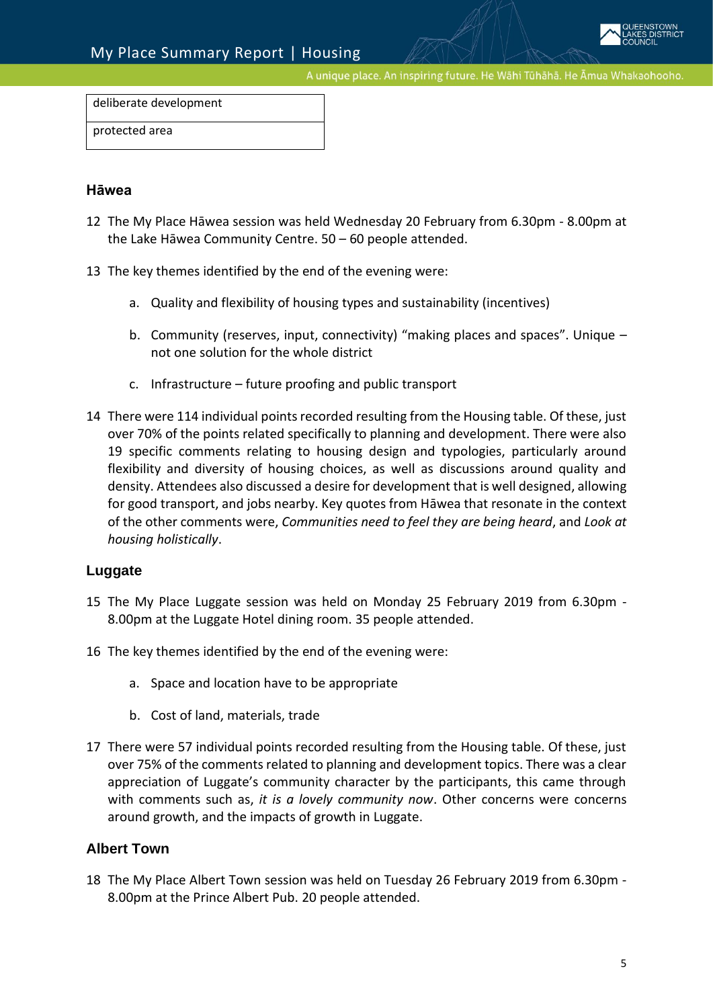deliberate development

protected area

#### **Hāwea**

- 12 The My Place Hāwea session was held Wednesday 20 February from 6.30pm 8.00pm at the Lake Hāwea Community Centre. 50 – 60 people attended.
- 13 The key themes identified by the end of the evening were:
	- a. Quality and flexibility of housing types and sustainability (incentives)
	- b. Community (reserves, input, connectivity) "making places and spaces". Unique not one solution for the whole district
	- c. Infrastructure future proofing and public transport
- 14 There were 114 individual points recorded resulting from the Housing table. Of these, just over 70% of the points related specifically to planning and development. There were also 19 specific comments relating to housing design and typologies, particularly around flexibility and diversity of housing choices, as well as discussions around quality and density. Attendees also discussed a desire for development that is well designed, allowing for good transport, and jobs nearby. Key quotes from Hāwea that resonate in the context of the other comments were, *Communities need to feel they are being heard*, and *Look at housing holistically*.

### **Luggate**

- 15 The My Place Luggate session was held on Monday 25 February 2019 from 6.30pm 8.00pm at the Luggate Hotel dining room. 35 people attended.
- 16 The key themes identified by the end of the evening were:
	- a. Space and location have to be appropriate
	- b. Cost of land, materials, trade
- 17 There were 57 individual points recorded resulting from the Housing table. Of these, just over 75% of the comments related to planning and development topics. There was a clear appreciation of Luggate's community character by the participants, this came through with comments such as, *it is a lovely community now*. Other concerns were concerns around growth, and the impacts of growth in Luggate.

### **Albert Town**

18 The My Place Albert Town session was held on Tuesday 26 February 2019 from 6.30pm - 8.00pm at the Prince Albert Pub. 20 people attended.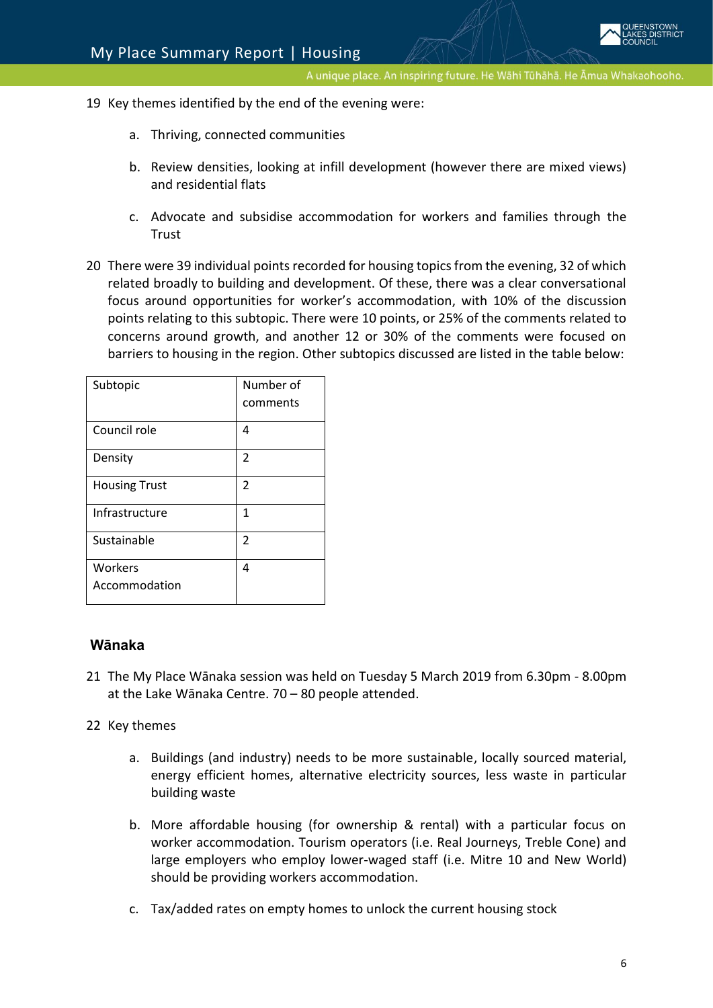- 19 Key themes identified by the end of the evening were:
	- a. Thriving, connected communities
	- b. Review densities, looking at infill development (however there are mixed views) and residential flats
	- c. Advocate and subsidise accommodation for workers and families through the Trust
- 20 There were 39 individual points recorded for housing topics from the evening, 32 of which related broadly to building and development. Of these, there was a clear conversational focus around opportunities for worker's accommodation, with 10% of the discussion points relating to this subtopic. There were 10 points, or 25% of the comments related to concerns around growth, and another 12 or 30% of the comments were focused on barriers to housing in the region. Other subtopics discussed are listed in the table below:

| Subtopic                 | Number of<br>comments |
|--------------------------|-----------------------|
| Council role             | 4                     |
| Density                  | 2                     |
| <b>Housing Trust</b>     | 2                     |
| Infrastructure           | 1                     |
| Sustainable              | 2                     |
| Workers<br>Accommodation | 4                     |

### **Wānaka**

21 The My Place Wānaka session was held on Tuesday 5 March 2019 from 6.30pm - 8.00pm at the Lake Wānaka Centre. 70 – 80 people attended.

### 22 Key themes

- a. Buildings (and industry) needs to be more sustainable, locally sourced material, energy efficient homes, alternative electricity sources, less waste in particular building waste
- b. More affordable housing (for ownership & rental) with a particular focus on worker accommodation. Tourism operators (i.e. Real Journeys, Treble Cone) and large employers who employ lower-waged staff (i.e. Mitre 10 and New World) should be providing workers accommodation.
- c. Tax/added rates on empty homes to unlock the current housing stock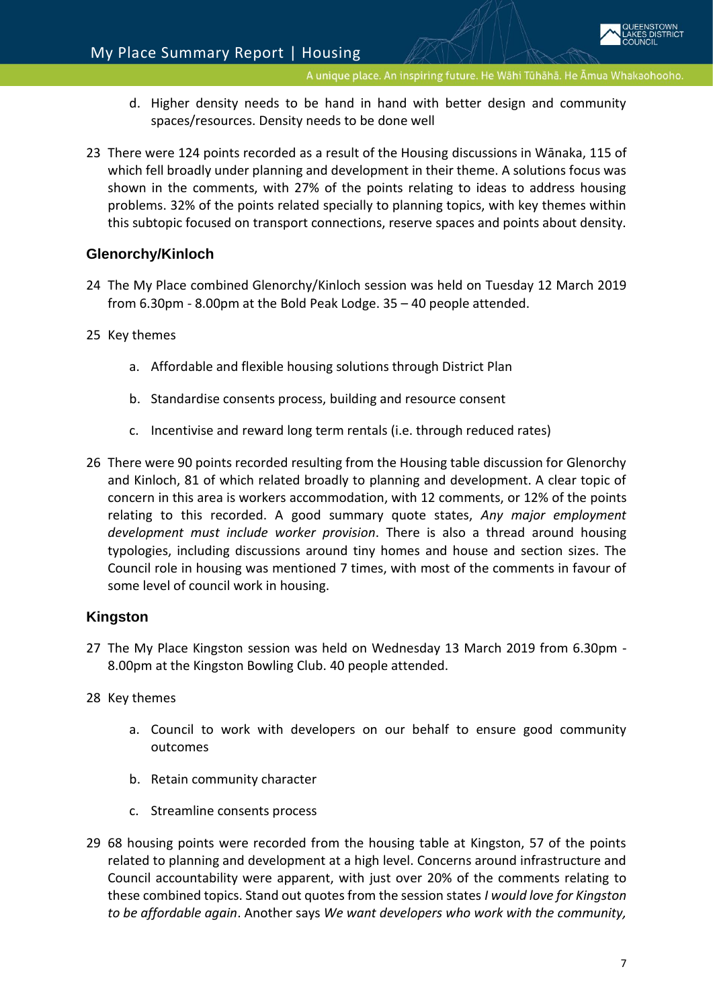- d. Higher density needs to be hand in hand with better design and community spaces/resources. Density needs to be done well
- 23 There were 124 points recorded as a result of the Housing discussions in Wānaka, 115 of which fell broadly under planning and development in their theme. A solutions focus was shown in the comments, with 27% of the points relating to ideas to address housing problems. 32% of the points related specially to planning topics, with key themes within this subtopic focused on transport connections, reserve spaces and points about density.

# **Glenorchy/Kinloch**

- 24 The My Place combined Glenorchy/Kinloch session was held on Tuesday 12 March 2019 from 6.30pm - 8.00pm at the Bold Peak Lodge. 35 – 40 people attended.
- 25 Key themes
	- a. Affordable and flexible housing solutions through District Plan
	- b. Standardise consents process, building and resource consent
	- c. Incentivise and reward long term rentals (i.e. through reduced rates)
- 26 There were 90 points recorded resulting from the Housing table discussion for Glenorchy and Kinloch, 81 of which related broadly to planning and development. A clear topic of concern in this area is workers accommodation, with 12 comments, or 12% of the points relating to this recorded. A good summary quote states, *Any major employment development must include worker provision*. There is also a thread around housing typologies, including discussions around tiny homes and house and section sizes. The Council role in housing was mentioned 7 times, with most of the comments in favour of some level of council work in housing.

### **Kingston**

- 27 The My Place Kingston session was held on Wednesday 13 March 2019 from 6.30pm 8.00pm at the Kingston Bowling Club. 40 people attended.
- 28 Key themes
	- a. Council to work with developers on our behalf to ensure good community outcomes
	- b. Retain community character
	- c. Streamline consents process
- 29 68 housing points were recorded from the housing table at Kingston, 57 of the points related to planning and development at a high level. Concerns around infrastructure and Council accountability were apparent, with just over 20% of the comments relating to these combined topics. Stand out quotes from the session states *I would love for Kingston to be affordable again*. Another says *We want developers who work with the community,*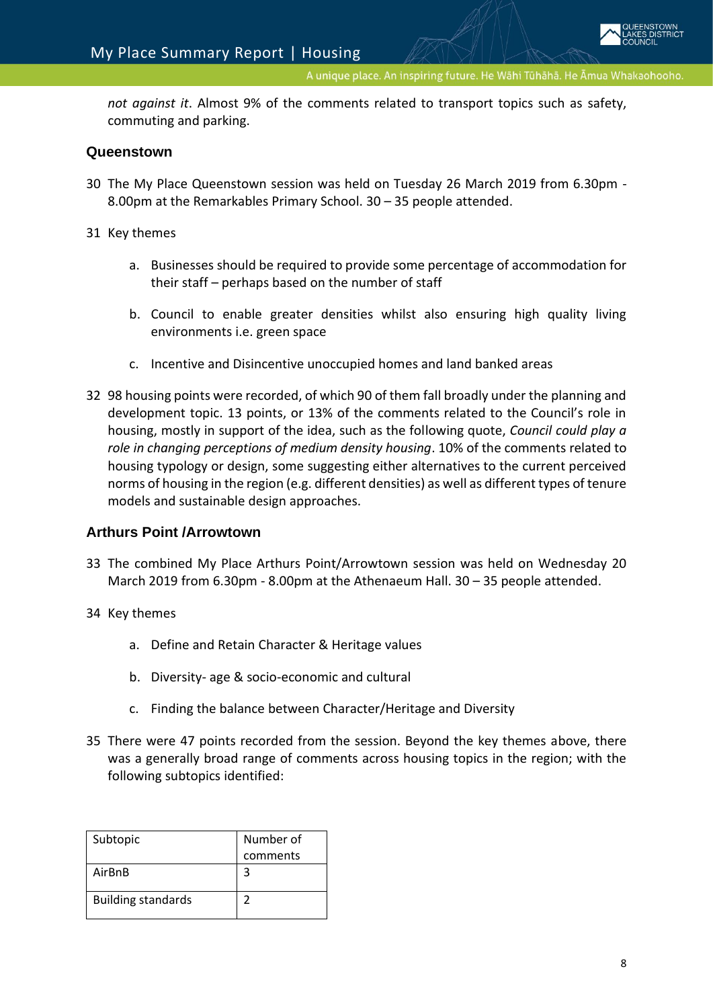*not against it*. Almost 9% of the comments related to transport topics such as safety, commuting and parking.

### **Queenstown**

- 30 The My Place Queenstown session was held on Tuesday 26 March 2019 from 6.30pm 8.00pm at the Remarkables Primary School. 30 – 35 people attended.
- 31 Key themes
	- a. Businesses should be required to provide some percentage of accommodation for their staff – perhaps based on the number of staff
	- b. Council to enable greater densities whilst also ensuring high quality living environments i.e. green space
	- c. Incentive and Disincentive unoccupied homes and land banked areas
- 32 98 housing points were recorded, of which 90 of them fall broadly under the planning and development topic. 13 points, or 13% of the comments related to the Council's role in housing, mostly in support of the idea, such as the following quote, *Council could play a role in changing perceptions of medium density housing*. 10% of the comments related to housing typology or design, some suggesting either alternatives to the current perceived norms of housing in the region (e.g. different densities) as well as different types of tenure models and sustainable design approaches.

### **Arthurs Point /Arrowtown**

- 33 The combined My Place Arthurs Point/Arrowtown session was held on Wednesday 20 March 2019 from 6.30pm - 8.00pm at the Athenaeum Hall. 30 – 35 people attended.
- 34 Key themes
	- a. Define and Retain Character & Heritage values
	- b. Diversity- age & socio-economic and cultural
	- c. Finding the balance between Character/Heritage and Diversity
- 35 There were 47 points recorded from the session. Beyond the key themes above, there was a generally broad range of comments across housing topics in the region; with the following subtopics identified:

| Subtopic                  | Number of |
|---------------------------|-----------|
|                           | comments  |
| AirBnB                    | 3         |
| <b>Building standards</b> |           |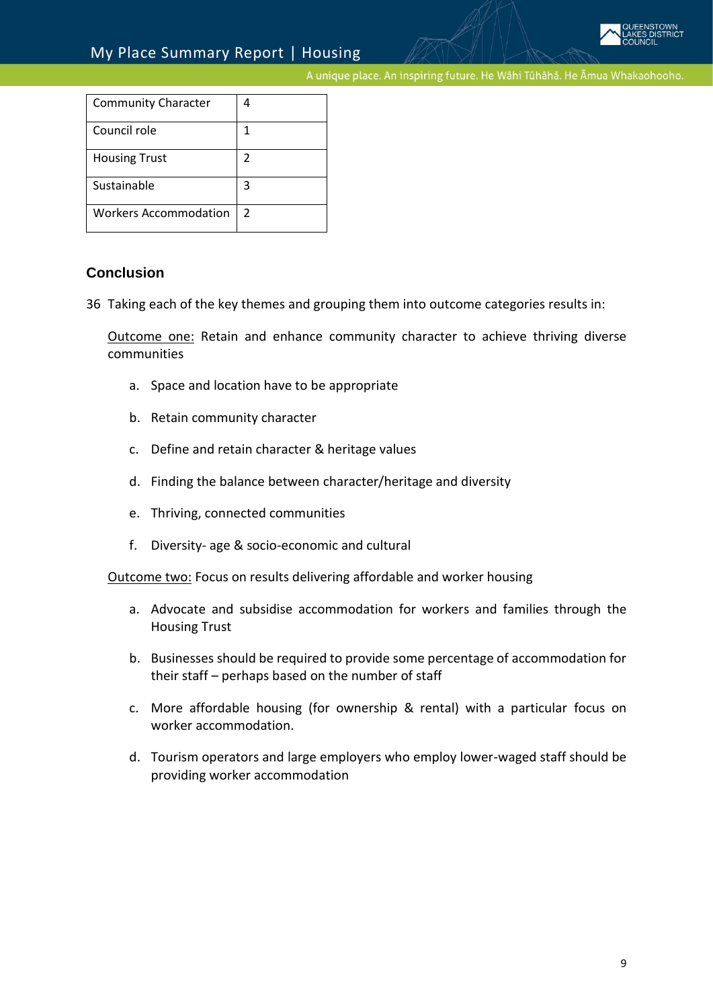| <b>Community Character</b>   |               |
|------------------------------|---------------|
| Council role                 | 1             |
| <b>Housing Trust</b>         | 2             |
| Sustainable                  | 3             |
| <b>Workers Accommodation</b> | $\mathcal{P}$ |

## **Conclusion**

36 Taking each of the key themes and grouping them into outcome categories results in:

Outcome one: Retain and enhance community character to achieve thriving diverse communities

- a. Space and location have to be appropriate
- b. Retain community character
- c. Define and retain character & heritage values
- d. Finding the balance between character/heritage and diversity
- e. Thriving, connected communities
- f. Diversity- age & socio-economic and cultural

Outcome two: Focus on results delivering affordable and worker housing

- a. Advocate and subsidise accommodation for workers and families through the Housing Trust
- b. Businesses should be required to provide some percentage of accommodation for their staff – perhaps based on the number of staff
- c. More affordable housing (for ownership & rental) with a particular focus on worker accommodation.
- d. Tourism operators and large employers who employ lower-waged staff should be providing worker accommodation